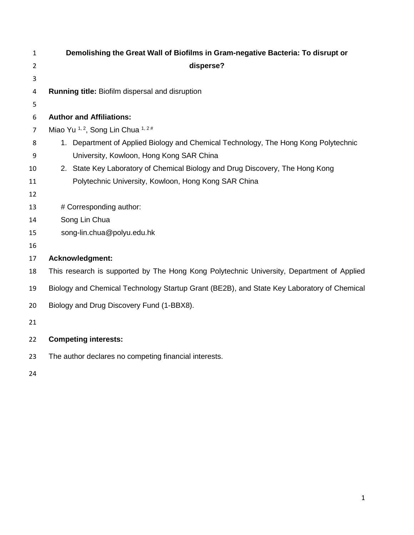| 1  | Demolishing the Great Wall of Biofilms in Gram-negative Bacteria: To disrupt or            |  |  |  |
|----|--------------------------------------------------------------------------------------------|--|--|--|
| 2  | disperse?                                                                                  |  |  |  |
| 3  |                                                                                            |  |  |  |
| 4  | Running title: Biofilm dispersal and disruption                                            |  |  |  |
| 5  |                                                                                            |  |  |  |
| 6  | <b>Author and Affiliations:</b>                                                            |  |  |  |
| 7  | Miao Yu <sup>1, 2</sup> , Song Lin Chua $1, 2\#$                                           |  |  |  |
| 8  | 1. Department of Applied Biology and Chemical Technology, The Hong Kong Polytechnic        |  |  |  |
| 9  | University, Kowloon, Hong Kong SAR China                                                   |  |  |  |
| 10 | 2. State Key Laboratory of Chemical Biology and Drug Discovery, The Hong Kong              |  |  |  |
| 11 | Polytechnic University, Kowloon, Hong Kong SAR China                                       |  |  |  |
| 12 |                                                                                            |  |  |  |
| 13 | # Corresponding author:                                                                    |  |  |  |
| 14 | Song Lin Chua                                                                              |  |  |  |
| 15 | song-lin.chua@polyu.edu.hk                                                                 |  |  |  |
| 16 |                                                                                            |  |  |  |
| 17 | Acknowledgment:                                                                            |  |  |  |
| 18 | This research is supported by The Hong Kong Polytechnic University, Department of Applied  |  |  |  |
| 19 | Biology and Chemical Technology Startup Grant (BE2B), and State Key Laboratory of Chemical |  |  |  |
| 20 | Biology and Drug Discovery Fund (1-BBX8).                                                  |  |  |  |
| 21 |                                                                                            |  |  |  |
| 22 | <b>Competing interests:</b>                                                                |  |  |  |
| 23 | The author declares no competing financial interests.                                      |  |  |  |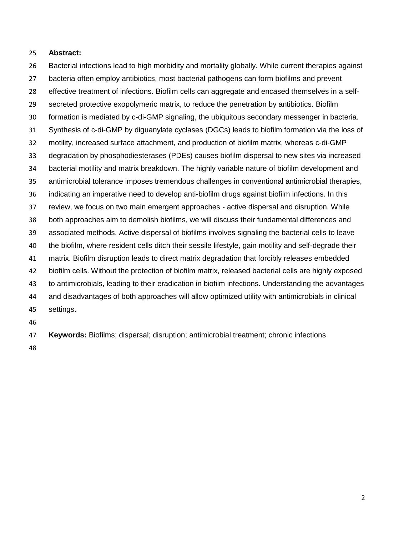#### **Abstract:**

 Bacterial infections lead to high morbidity and mortality globally. While current therapies against bacteria often employ antibiotics, most bacterial pathogens can form biofilms and prevent

- effective treatment of infections. Biofilm cells can aggregate and encased themselves in a self-
- secreted protective exopolymeric matrix, to reduce the penetration by antibiotics. Biofilm
- formation is mediated by c-di-GMP signaling, the ubiquitous secondary messenger in bacteria.
- Synthesis of c-di-GMP by diguanylate cyclases (DGCs) leads to biofilm formation via the loss of
- motility, increased surface attachment, and production of biofilm matrix, whereas c-di-GMP
- degradation by phosphodiesterases (PDEs) causes biofilm dispersal to new sites via increased
- bacterial motility and matrix breakdown. The highly variable nature of biofilm development and
- antimicrobial tolerance imposes tremendous challenges in conventional antimicrobial therapies,
- indicating an imperative need to develop anti-biofilm drugs against biofilm infections. In this
- review, we focus on two main emergent approaches active dispersal and disruption. While
- both approaches aim to demolish biofilms, we will discuss their fundamental differences and
- associated methods. Active dispersal of biofilms involves signaling the bacterial cells to leave
- the biofilm, where resident cells ditch their sessile lifestyle, gain motility and self-degrade their
- matrix. Biofilm disruption leads to direct matrix degradation that forcibly releases embedded
- biofilm cells. Without the protection of biofilm matrix, released bacterial cells are highly exposed
- to antimicrobials, leading to their eradication in biofilm infections. Understanding the advantages
- and disadvantages of both approaches will allow optimized utility with antimicrobials in clinical
- settings.
- 
- **Keywords:** Biofilms; dispersal; disruption; antimicrobial treatment; chronic infections
-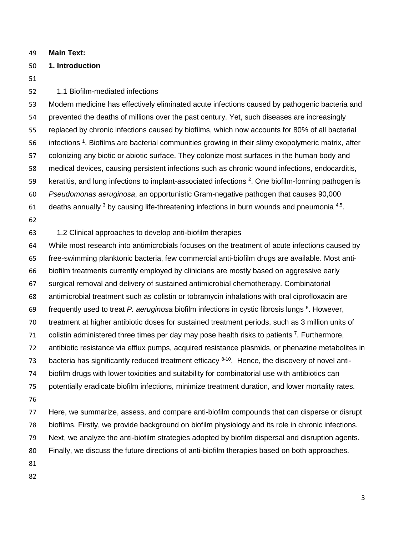**Main Text:**

## **1. Introduction**

# 1.1 Biofilm-mediated infections

 Modern medicine has effectively eliminated acute infections caused by pathogenic bacteria and prevented the deaths of millions over the past century. Yet, such diseases are increasingly replaced by chronic infections caused by biofilms, which now accounts for 80% of all bacterial 56 infections <sup>1</sup>. Biofilms are bacterial communities growing in their slimy exopolymeric matrix, after colonizing any biotic or abiotic surface. They colonize most surfaces in the human body and medical devices, causing persistent infections such as chronic wound infections, endocarditis, 59 keratitis, and lung infections to implant-associated infections . One biofilm-forming pathogen is *Pseudomonas aeruginosa*, an opportunistic Gram-negative pathogen that causes 90,000 61 deaths annually by causing life-threatening infections in burn wounds and pneumonia  $4.5$ .

1.2 Clinical approaches to develop anti-biofilm therapies

 While most research into antimicrobials focuses on the treatment of acute infections caused by free-swimming planktonic bacteria, few commercial anti-biofilm drugs are available. Most anti- biofilm treatments currently employed by clinicians are mostly based on aggressive early surgical removal and delivery of sustained antimicrobial chemotherapy. Combinatorial antimicrobial treatment such as colistin or tobramycin inhalations with oral ciprofloxacin are frequently used to treat *P. aeruginosa* biofilm infections in cystic fibrosis lungs <sup>6</sup>. However, treatment at higher antibiotic doses for sustained treatment periods, such as 3 million units of 71 colistin administered three times per day may pose health risks to patients  $7.$  Furthermore, antibiotic resistance via efflux pumps, acquired resistance plasmids, or phenazine metabolites in 73 bacteria has significantly reduced treatment efficacy  $8-10$ . Hence, the discovery of novel anti- biofilm drugs with lower toxicities and suitability for combinatorial use with antibiotics can potentially eradicate biofilm infections, minimize treatment duration, and lower mortality rates. Here, we summarize, assess, and compare anti-biofilm compounds that can disperse or disrupt biofilms. Firstly, we provide background on biofilm physiology and its role in chronic infections. Next, we analyze the anti-biofilm strategies adopted by biofilm dispersal and disruption agents. Finally, we discuss the future directions of anti-biofilm therapies based on both approaches.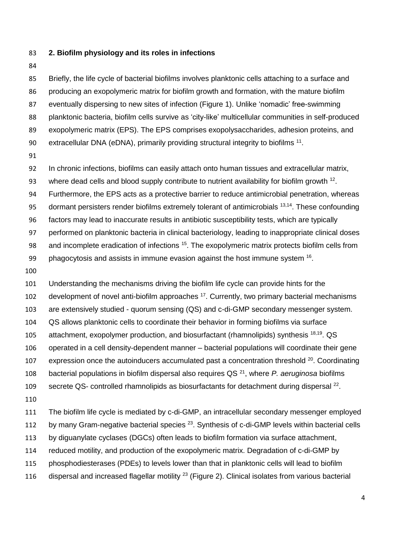- **2. Biofilm physiology and its roles in infections**
- 

 Briefly, the life cycle of bacterial biofilms involves planktonic cells attaching to a surface and producing an exopolymeric matrix for biofilm growth and formation, with the mature biofilm eventually dispersing to new sites of infection (Figure 1). Unlike 'nomadic' free-swimming planktonic bacteria, biofilm cells survive as 'city-like' multicellular communities in self-produced exopolymeric matrix (EPS). The EPS comprises exopolysaccharides, adhesion proteins, and 90 extracellular DNA (eDNA), primarily providing structural integrity to biofilms .

In chronic infections, biofilms can easily attach onto human tissues and extracellular matrix,

93 where dead cells and blood supply contribute to nutrient availability for biofilm growth .

Furthermore, the EPS acts as a protective barrier to reduce antimicrobial penetration, whereas

95 dormant persisters render biofilms extremely tolerant of antimicrobials  $13,14$ . These confounding

factors may lead to inaccurate results in antibiotic susceptibility tests, which are typically

performed on planktonic bacteria in clinical bacteriology, leading to inappropriate clinical doses

98 and incomplete eradication of infections <sup>15</sup>. The exopolymeric matrix protects biofilm cells from

99 bhagocytosis and assists in immune evasion against the host immune system .

 Understanding the mechanisms driving the biofilm life cycle can provide hints for the 102 development of novel anti-biofilm approaches . Currently, two primary bacterial mechanisms are extensively studied - quorum sensing (QS) and c-di-GMP secondary messenger system. QS allows planktonic cells to coordinate their behavior in forming biofilms via surface 105 attachment, exopolymer production, and biosurfactant (rhamnolipids) synthesis  $18,19$ . QS operated in a cell density-dependent manner – bacterial populations will coordinate their gene 107 expression once the autoinducers accumulated past a concentration threshold . Coordinating 108 bacterial populations in biofilm dispersal also requires QS<sup>21</sup>, where *P. aeruginosa* biofilms secrete QS- controlled rhamnolipids as biosurfactants for detachment during dispersal <sup>22</sup>.

The biofilm life cycle is mediated by c-di-GMP, an intracellular secondary messenger employed

112 by many Gram-negative bacterial species . Synthesis of c-di-GMP levels within bacterial cells

by diguanylate cyclases (DGCs) often leads to biofilm formation via surface attachment,

reduced motility, and production of the exopolymeric matrix. Degradation of c-di-GMP by

phosphodiesterases (PDEs) to levels lower than that in planktonic cells will lead to biofilm

116 dispersal and increased flagellar motility  $^{23}$  (Figure 2). Clinical isolates from various bacterial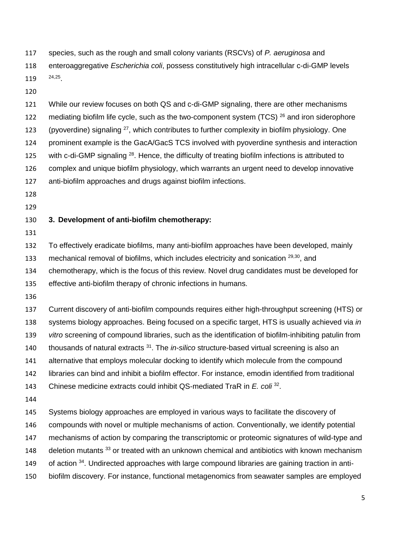species, such as the rough and small colony variants (RSCVs) of *P. aeruginosa* and enteroaggregative *Escherichia coli*, possess constitutively high intracellular c-di-GMP levels 119 24,25

 While our review focuses on both QS and c-di-GMP signaling, there are other mechanisms 122 mediating biofilm life cycle, such as the two-component system (TCS)  $^{26}$  and iron siderophore 123 (pyoverdine) signaling , which contributes to further complexity in biofilm physiology. One prominent example is the GacA/GacS TCS involved with pyoverdine synthesis and interaction 125 with c-di-GMP signaling  $^{28}$ . Hence, the difficulty of treating biofilm infections is attributed to complex and unique biofilm physiology, which warrants an urgent need to develop innovative anti-biofilm approaches and drugs against biofilm infections.

- 
- 

## **3. Development of anti-biofilm chemotherapy:**

To effectively eradicate biofilms, many anti-biofilm approaches have been developed, mainly

133 mechanical removal of biofilms, which includes electricity and sonication <sup>29,30</sup>, and

chemotherapy, which is the focus of this review. Novel drug candidates must be developed for

effective anti-biofilm therapy of chronic infections in humans.

 Current discovery of anti-biofilm compounds requires either high-throughput screening (HTS) or systems biology approaches. Being focused on a specific target, HTS is usually achieved via *in vitro* screening of compound libraries, such as the identification of biofilm-inhibiting patulin from 140 thousands of natural extracts <sup>31</sup>. The *in-silico* structure-based virtual screening is also an alternative that employs molecular docking to identify which molecule from the compound libraries can bind and inhibit a biofilm effector. For instance, emodin identified from traditional 143 Chinese medicine extracts could inhibit QS-mediated TraR in *E. coli* <sup>32</sup>. Systems biology approaches are employed in various ways to facilitate the discovery of compounds with novel or multiple mechanisms of action. Conventionally, we identify potential mechanisms of action by comparing the transcriptomic or proteomic signatures of wild-type and 148 deletion mutants or treated with an unknown chemical and antibiotics with known mechanism 149 of action . Undirected approaches with large compound libraries are gaining traction in anti-

biofilm discovery. For instance, functional metagenomics from seawater samples are employed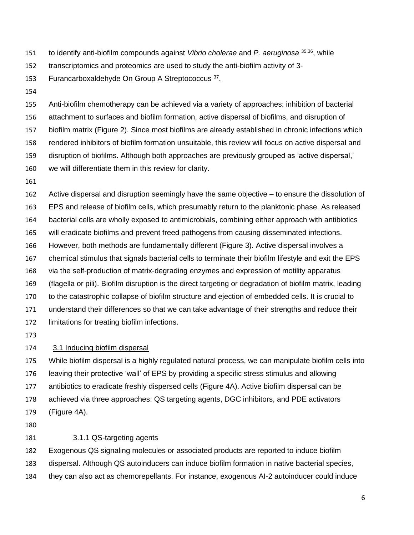- to identify anti-biofilm compounds against *Vibrio cholerae* and *P. aeruginosa* 35,36 , while
- transcriptomics and proteomics are used to study the anti-biofilm activity of 3-
- 153 Furancarboxaldehyde On Group A Streptococcus 37.
- 

 Anti-biofilm chemotherapy can be achieved via a variety of approaches: inhibition of bacterial attachment to surfaces and biofilm formation, active dispersal of biofilms, and disruption of biofilm matrix (Figure 2). Since most biofilms are already established in chronic infections which rendered inhibitors of biofilm formation unsuitable, this review will focus on active dispersal and disruption of biofilms. Although both approaches are previously grouped as 'active dispersal,' we will differentiate them in this review for clarity.

 Active dispersal and disruption seemingly have the same objective – to ensure the dissolution of EPS and release of biofilm cells, which presumably return to the planktonic phase. As released bacterial cells are wholly exposed to antimicrobials, combining either approach with antibiotics will eradicate biofilms and prevent freed pathogens from causing disseminated infections. However, both methods are fundamentally different (Figure 3). Active dispersal involves a chemical stimulus that signals bacterial cells to terminate their biofilm lifestyle and exit the EPS via the self-production of matrix-degrading enzymes and expression of motility apparatus (flagella or pili). Biofilm disruption is the direct targeting or degradation of biofilm matrix, leading to the catastrophic collapse of biofilm structure and ejection of embedded cells. It is crucial to understand their differences so that we can take advantage of their strengths and reduce their limitations for treating biofilm infections.

#### 3.1 Inducing biofilm dispersal

 While biofilm dispersal is a highly regulated natural process, we can manipulate biofilm cells into leaving their protective 'wall' of EPS by providing a specific stress stimulus and allowing antibiotics to eradicate freshly dispersed cells (Figure 4A). Active biofilm dispersal can be achieved via three approaches: QS targeting agents, DGC inhibitors, and PDE activators (Figure 4A).

#### 3.1.1 QS-targeting agents

Exogenous QS signaling molecules or associated products are reported to induce biofilm

- dispersal. Although QS autoinducers can induce biofilm formation in native bacterial species,
- they can also act as chemorepellants. For instance, exogenous AI-2 autoinducer could induce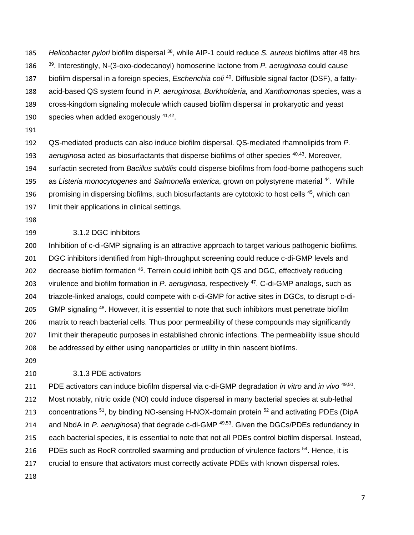185 Helicobacter pylori biofilm dispersal <sup>38</sup>, while AIP-1 could reduce *S. aureus* biofilms after 48 hrs <sup>39</sup> . Interestingly, N-(3-oxo-dodecanoyl) homoserine lactone from *P. aeruginosa* could cause

- 187 biofilm dispersal in a foreign species, *Escherichia coli* <sup>40</sup>. Diffusible signal factor (DSF), a fatty-
- acid-based QS system found in *P. aeruginosa*, *Burkholderia,* and *Xanthomonas* species, was a
- cross-kingdom signaling molecule which caused biofilm dispersal in prokaryotic and yeast
- 190 species when added exogenously  $41,42$ .
- 

 QS-mediated products can also induce biofilm dispersal. QS-mediated rhamnolipids from *P.*  193 aeruginosa acted as biosurfactants that disperse biofilms of other species <sup>40,43</sup>. Moreover, surfactin secreted from *Bacillus subtilis* could disperse biofilms from food-borne pathogens such 195 as *Listeria monocytogenes* and *Salmonella enterica*, grown on polystyrene material <sup>44</sup>. While 196 promising in dispersing biofilms, such biosurfactants are cytotoxic to host cells , which can limit their applications in clinical settings.

## 3.1.2 DGC inhibitors

 Inhibition of c-di-GMP signaling is an attractive approach to target various pathogenic biofilms. DGC inhibitors identified from high-throughput screening could reduce c-di-GMP levels and 202 decrease biofilm formation <sup>46</sup>. Terrein could inhibit both QS and DGC, effectively reducing 203 virulence and biofilm formation in *P. aeruginosa*, respectively <sup>47</sup>. C-di-GMP analogs, such as triazole-linked analogs, could compete with c-di-GMP for active sites in DGCs, to disrupt c-di-205 GMP signaling <sup>48</sup>. However, it is essential to note that such inhibitors must penetrate biofilm matrix to reach bacterial cells. Thus poor permeability of these compounds may significantly limit their therapeutic purposes in established chronic infections. The permeability issue should be addressed by either using nanoparticles or utility in thin nascent biofilms.

## 3.1.3 PDE activators

211 PDE activators can induce biofilm dispersal via c-di-GMP degradation *in vitro* and *in vivo* <sup>49,50</sup>. Most notably, nitric oxide (NO) could induce dispersal in many bacterial species at sub-lethal 213 concentrations <sup>51</sup>, by binding NO-sensing H-NOX-domain protein <sup>52</sup> and activating PDEs (DipA 214 and NbdA in *P. aeruginosa*) that degrade c-di-GMP<sup>49,53</sup>. Given the DGCs/PDEs redundancy in each bacterial species, it is essential to note that not all PDEs control biofilm dispersal. Instead, 216 PDEs such as RocR controlled swarming and production of virulence factors <sup>54</sup>. Hence, it is crucial to ensure that activators must correctly activate PDEs with known dispersal roles.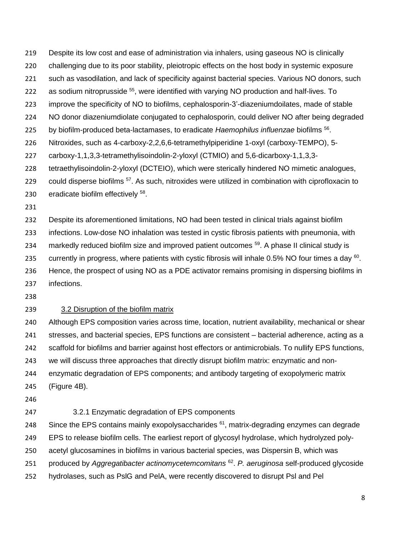Despite its low cost and ease of administration via inhalers, using gaseous NO is clinically

- challenging due to its poor stability, pleiotropic effects on the host body in systemic exposure
- such as vasodilation, and lack of specificity against bacterial species. Various NO donors, such
- 222 as sodium nitroprusside <sup>55</sup>, were identified with varying NO production and half-lives. To
- improve the specificity of NO to biofilms, cephalosporin-3'-diazeniumdoilates, made of stable
- NO donor diazeniumdiolate conjugated to cephalosporin, could deliver NO after being degraded
- by biofilm-produced beta-lactamases, to eradicate *Haemophilus influenzae* biofilms <sup>56</sup> .
- Nitroxides, such as 4-carboxy-2,2,6,6-tetramethylpiperidine 1-oxyl (carboxy-TEMPO), 5-
- carboxy-1,1,3,3-tetramethylisoindolin-2-yloxyl (CTMIO) and 5,6-dicarboxy-1,1,3,3-
- tetraethylisoindolin-2-yloxyl (DCTEIO), which were sterically hindered NO mimetic analogues,
- could disperse biofilms  $57$ . As such, nitroxides were utilized in combination with ciprofloxacin to
- 230 eradicate biofilm effectively <sup>58</sup>.
- 

 Despite its aforementioned limitations, NO had been tested in clinical trials against biofilm infections. Low-dose NO inhalation was tested in cystic fibrosis patients with pneumonia, with 234 markedly reduced biofilm size and improved patient outcomes <sup>59</sup>. A phase II clinical study is 235 currently in progress, where patients with cystic fibrosis will inhale 0.5% NO four times a day  $^{60}$ . Hence, the prospect of using NO as a PDE activator remains promising in dispersing biofilms in infections.

# 3.2 Disruption of the biofilm matrix

 Although EPS composition varies across time, location, nutrient availability, mechanical or shear stresses, and bacterial species, EPS functions are consistent – bacterial adherence, acting as a scaffold for biofilms and barrier against host effectors or antimicrobials. To nullify EPS functions, we will discuss three approaches that directly disrupt biofilm matrix: enzymatic and non-enzymatic degradation of EPS components; and antibody targeting of exopolymeric matrix

- (Figure 4B).
- 
- 3.2.1 Enzymatic degradation of EPS components

248 Since the EPS contains mainly exopolysaccharides , matrix-degrading enzymes can degrade

EPS to release biofilm cells. The earliest report of glycosyl hydrolase, which hydrolyzed poly-

acetyl glucosamines in biofilms in various bacterial species, was Dispersin B, which was

- produced by *Aggregatibacter actinomycetemcomitans* <sup>62</sup> . *P. aeruginosa* self-produced glycoside
- hydrolases, such as PslG and PelA, were recently discovered to disrupt Psl and Pel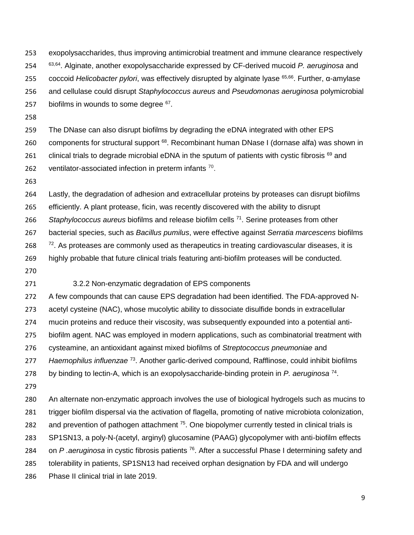exopolysaccharides, thus improving antimicrobial treatment and immune clearance respectively 63,64 . Alginate, another exopolysaccharide expressed by CF-derived mucoid *P. aeruginosa* and coccoid *Helicobacter pylori*, was effectively disrupted by alginate lyase <sup>65,66</sup>. Further, α-amylase 25 and cellulase could disrupt *Staphylococcus aureus* and *Pseudomonas aeruginosa* polymicrobial 257 biofilms in wounds to some degree .

 The DNase can also disrupt biofilms by degrading the eDNA integrated with other EPS 260 components for structural support . Recombinant human DNase I (dornase alfa) was shown in 261 clinical trials to degrade microbial eDNA in the sputum of patients with cystic fibrosis and 262 ventilator-associated infection in preterm infants .

 Lastly, the degradation of adhesion and extracellular proteins by proteases can disrupt biofilms efficiently. A plant protease, ficin, was recently discovered with the ability to disrupt 266 Staphylococcus aureus biofilms and release biofilm cells <sup>71</sup>. Serine proteases from other bacterial species, such as *Bacillus pumilus*, were effective against *Serratia marcescens* biofilms  $\frac{72}{15}$ . As proteases are commonly used as therapeutics in treating cardiovascular diseases, it is highly probable that future clinical trials featuring anti-biofilm proteases will be conducted.

#### 3.2.2 Non-enzymatic degradation of EPS components

 A few compounds that can cause EPS degradation had been identified. The FDA-approved N- acetyl cysteine (NAC), whose mucolytic ability to dissociate disulfide bonds in extracellular mucin proteins and reduce their viscosity, was subsequently expounded into a potential anti- biofilm agent. NAC was employed in modern applications, such as combinatorial treatment with cysteamine, an antioxidant against mixed biofilms of *Streptococcus pneumoniae* and

277 Haemophilus influenzae<sup>73</sup>. Another garlic-derived compound, Rafflinose, could inhibit biofilms

278 by binding to lectin-A, which is an exopolysaccharide-binding protein in *P. aeruginosa*<sup>74</sup>.

 An alternate non-enzymatic approach involves the use of biological hydrogels such as mucins to trigger biofilm dispersal via the activation of flagella, promoting of native microbiota colonization, 282 and prevention of pathogen attachment . One biopolymer currently tested in clinical trials is SP1SN13, a poly-N-(acetyl, arginyl) glucosamine (PAAG) glycopolymer with anti-biofilm effects 284 on P *.aeruginosa* in cystic fibrosis patients <sup>76</sup>. After a successful Phase I determining safety and tolerability in patients, SP1SN13 had received orphan designation by FDA and will undergo Phase II clinical trial in late 2019.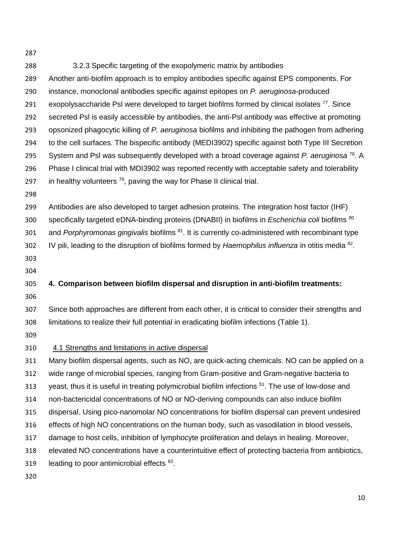3.2.3 Specific targeting of the exopolymeric matrix by antibodies Another anti-biofilm approach is to employ antibodies specific against EPS components. For instance, monoclonal antibodies specific against epitopes on *P. aeruginosa*-produced exopolysaccharide PsI were developed to target biofilms formed by clinical isolates . Since secreted Psl is easily accessible by antibodies, the anti-Psl antibody was effective at promoting opsonized phagocytic killing of *P. aeruginosa* biofilms and inhibiting the pathogen from adhering to the cell surfaces. The bispecific antibody (MEDI3902) specific against both Type III Secretion System and PsI was subsequently developed with a broad coverage against *P. aeruginosa*<sup>78</sup>. A Phase I clinical trial with MDI3902 was reported recently with acceptable safety and tolerability 297 in healthy volunteers  $^{79}$ , paving the way for Phase II clinical trial. Antibodies are also developed to target adhesion proteins. The integration host factor (IHF) specifically targeted eDNA-binding proteins (DNABII) in biofilms in *Escherichia coli* biofilms <sup>80</sup> 301 and *Porphyromonas gingivalis* biofilms <sup>81</sup>. It is currently co-administered with recombinant type 102 IV pili, leading to the disruption of biofilms formed by *Haemophilus influenza* in otitis media <sup>82</sup>. **4. Comparison between biofilm dispersal and disruption in anti-biofilm treatments:** Since both approaches are different from each other, it is critical to consider their strengths and limitations to realize their full potential in eradicating biofilm infections (Table 1). 4.1 Strengths and limitations in active dispersal Many biofilm dispersal agents, such as NO, are quick-acting chemicals. NO can be applied on a wide range of microbial species, ranging from Gram-positive and Gram-negative bacteria to 313 yeast, thus it is useful in treating polymicrobial biofilm infections <sup>51</sup>. The use of low-dose and non-bactericidal concentrations of NO or NO-deriving compounds can also induce biofilm dispersal. Using pico-nanomolar NO concentrations for biofilm dispersal can prevent undesired effects of high NO concentrations on the human body, such as vasodilation in blood vessels, damage to host cells, inhibition of lymphocyte proliferation and delays in healing. Moreover, elevated NO concentrations have a counterintuitive effect of protecting bacteria from antibiotics, 319 leading to poor antimicrobial effects .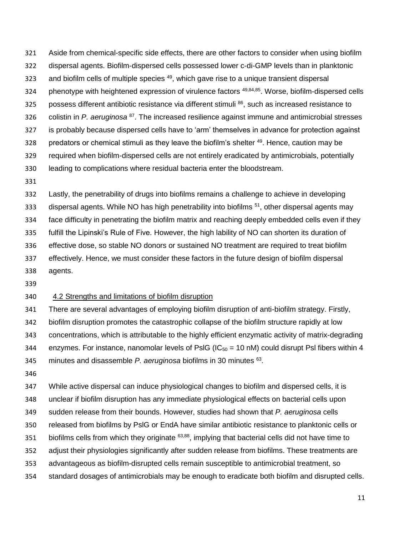Aside from chemical-specific side effects, there are other factors to consider when using biofilm dispersal agents. Biofilm-dispersed cells possessed lower c-di-GMP levels than in planktonic 323 and biofilm cells of multiple species , which gave rise to a unique transient dispersal 324 phenotype with heightened expression of virulence factors <sup>49,84,85</sup>. Worse, biofilm-dispersed cells 325 possess different antibiotic resistance via different stimuli  $^{86}$ , such as increased resistance to 326 colistin in *P. aeruginosa* <sup>87</sup>. The increased resilience against immune and antimicrobial stresses is probably because dispersed cells have to 'arm' themselves in advance for protection against 328 predators or chemical stimuli as they leave the biofilm's shelter . Hence, caution may be required when biofilm-dispersed cells are not entirely eradicated by antimicrobials, potentially leading to complications where residual bacteria enter the bloodstream.

 Lastly, the penetrability of drugs into biofilms remains a challenge to achieve in developing 333 dispersal agents. While NO has high penetrability into biofilms <sup>51</sup>, other dispersal agents may face difficulty in penetrating the biofilm matrix and reaching deeply embedded cells even if they fulfill the Lipinski's Rule of Five. However, the high lability of NO can shorten its duration of effective dose, so stable NO donors or sustained NO treatment are required to treat biofilm effectively. Hence, we must consider these factors in the future design of biofilm dispersal agents.

#### 4.2 Strengths and limitations of biofilm disruption

 There are several advantages of employing biofilm disruption of anti-biofilm strategy. Firstly, biofilm disruption promotes the catastrophic collapse of the biofilm structure rapidly at low concentrations, which is attributable to the highly efficient enzymatic activity of matrix-degrading 344 enzymes. For instance, nanomolar levels of PsIG ( $IC_{50} = 10$  nM) could disrupt PsI fibers within 4 345 minutes and disassemble *P. aeruginosa* biofilms in 30 minutes <sup>63</sup>.

 While active dispersal can induce physiological changes to biofilm and dispersed cells, it is unclear if biofilm disruption has any immediate physiological effects on bacterial cells upon sudden release from their bounds. However, studies had shown that *P. aeruginosa* cells released from biofilms by PslG or EndA have similar antibiotic resistance to planktonic cells or 351 biofilms cells from which they originate  $63,88$ , implying that bacterial cells did not have time to adjust their physiologies significantly after sudden release from biofilms. These treatments are advantageous as biofilm-disrupted cells remain susceptible to antimicrobial treatment, so standard dosages of antimicrobials may be enough to eradicate both biofilm and disrupted cells.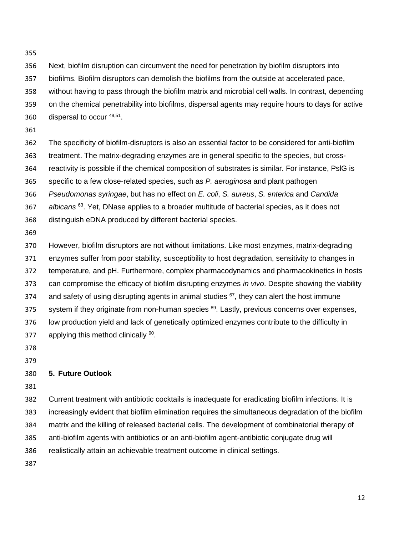- Next, biofilm disruption can circumvent the need for penetration by biofilm disruptors into
- biofilms. Biofilm disruptors can demolish the biofilms from the outside at accelerated pace,
- without having to pass through the biofilm matrix and microbial cell walls. In contrast, depending
- on the chemical penetrability into biofilms, dispersal agents may require hours to days for active
- 360  $\frac{360}{15}$  dispersal to occur <sup>49,51</sup>.
- 
- The specificity of biofilm-disruptors is also an essential factor to be considered for anti-biofilm treatment. The matrix-degrading enzymes are in general specific to the species, but cross- reactivity is possible if the chemical composition of substrates is similar. For instance, PslG is specific to a few close-related species, such as *P. aeruginosa* and plant pathogen *Pseudomonas syringae*, but has no effect on *E. coli*, *S. aureus*, *S. enterica* and *Candida albicans* <sup>63</sup> . Yet, DNase applies to a broader multitude of bacterial species, as it does not distinguish eDNA produced by different bacterial species.
- 

 However, biofilm disruptors are not without limitations. Like most enzymes, matrix-degrading enzymes suffer from poor stability, susceptibility to host degradation, sensitivity to changes in temperature, and pH. Furthermore, complex pharmacodynamics and pharmacokinetics in hosts can compromise the efficacy of biofilm disrupting enzymes *in vivo*. Despite showing the viability 374 and safety of using disrupting agents in animal studies , they can alert the host immune system if they originate from non-human species <sup>89</sup>. Lastly, previous concerns over expenses, low production yield and lack of genetically optimized enzymes contribute to the difficulty in 377 applying this method clinically .

# **5. Future Outlook**

 Current treatment with antibiotic cocktails is inadequate for eradicating biofilm infections. It is increasingly evident that biofilm elimination requires the simultaneous degradation of the biofilm matrix and the killing of released bacterial cells. The development of combinatorial therapy of anti-biofilm agents with antibiotics or an anti-biofilm agent-antibiotic conjugate drug will realistically attain an achievable treatment outcome in clinical settings.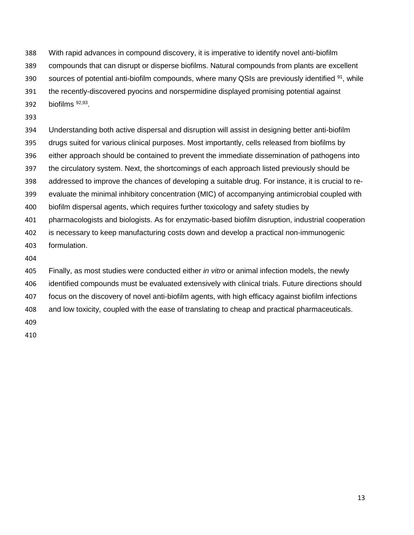With rapid advances in compound discovery, it is imperative to identify novel anti-biofilm

- compounds that can disrupt or disperse biofilms. Natural compounds from plants are excellent
- 390 sources of potential anti-biofilm compounds, where many QSIs are previously identified , while
- the recently-discovered pyocins and norspermidine displayed promising potential against
- 392 biofilms  $92,93$ .
- 

 Understanding both active dispersal and disruption will assist in designing better anti-biofilm drugs suited for various clinical purposes. Most importantly, cells released from biofilms by either approach should be contained to prevent the immediate dissemination of pathogens into the circulatory system. Next, the shortcomings of each approach listed previously should be addressed to improve the chances of developing a suitable drug. For instance, it is crucial to re- evaluate the minimal inhibitory concentration (MIC) of accompanying antimicrobial coupled with biofilm dispersal agents, which requires further toxicology and safety studies by pharmacologists and biologists. As for enzymatic-based biofilm disruption, industrial cooperation is necessary to keep manufacturing costs down and develop a practical non-immunogenic formulation.

 Finally, as most studies were conducted either *in vitro* or animal infection models, the newly identified compounds must be evaluated extensively with clinical trials. Future directions should focus on the discovery of novel anti-biofilm agents, with high efficacy against biofilm infections and low toxicity, coupled with the ease of translating to cheap and practical pharmaceuticals.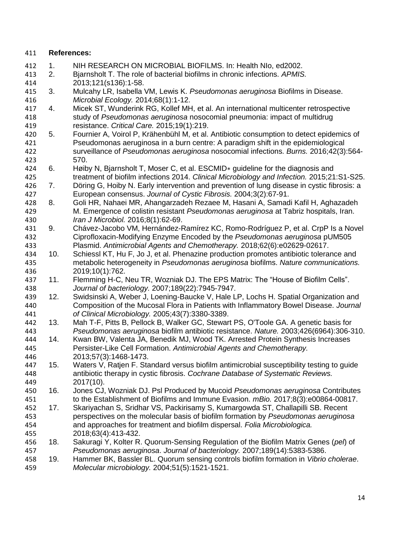# **References:**

 1. NIH RESEARCH ON MICROBIAL BIOFILMS. In: Health NIo, ed2002. 2. Bjarnsholt T. The role of bacterial biofilms in chronic infections. *APMIS.*  2013;121(s136):1-58. 3. Mulcahy LR, Isabella VM, Lewis K. *Pseudomonas aeruginosa* Biofilms in Disease. *Microbial Ecology.* 2014;68(1):1-12. 4. Micek ST, Wunderink RG, Kollef MH, et al. An international multicenter retrospective study of *Pseudomonas aeruginosa* nosocomial pneumonia: impact of multidrug resistance. *Critical Care.* 2015;19(1):219. 5. Fournier A, Voirol P, Krähenbühl M, et al. Antibiotic consumption to detect epidemics of Pseudomonas aeruginosa in a burn centre: A paradigm shift in the epidemiological surveillance of *Pseudomonas aeruginosa* nosocomial infections. *Burns.* 2016;42(3):564- 570. 6. Høiby N, Bjarnsholt T, Moser C, et al. ESCMID∗ guideline for the diagnosis and treatment of biofilm infections 2014. *Clinical Microbiology and Infection.* 2015;21:S1-S25. 7. Döring G, Hoiby N. Early intervention and prevention of lung disease in cystic fibrosis: a European consensus. *Journal of Cystic Fibrosis.* 2004;3(2):67-91. 428 8. Goli HR, Nahaei MR, Ahangarzadeh Rezaee M, Hasani A, Samadi Kafil H, Aghazadeh<br>429 M. Emergence of colistin resistant Pseudomonas aeruginosa at Tabriz hospitals, Iran. M. Emergence of colistin resistant *Pseudomonas aeruginosa* at Tabriz hospitals, Iran. *Iran J Microbiol.* 2016;8(1):62-69. 9. Chávez-Jacobo VM, Hernández-Ramírez KC, Romo-Rodríguez P, et al. CrpP Is a Novel Ciprofloxacin-Modifying Enzyme Encoded by the *Pseudomonas aeruginosa* pUM505 Plasmid. *Antimicrobial Agents and Chemotherapy.* 2018;62(6):e02629-02617. 10. Schiessl KT, Hu F, Jo J, et al. Phenazine production promotes antibiotic tolerance and metabolic heterogeneity in *Pseudomonas aeruginosa* biofilms. *Nature communications.*  2019;10(1):762. 11. Flemming H-C, Neu TR, Wozniak DJ. The EPS Matrix: The "House of Biofilm Cells". *Journal of bacteriology.* 2007;189(22):7945-7947. 12. Swidsinski A, Weber J, Loening-Baucke V, Hale LP, Lochs H. Spatial Organization and Composition of the Mucosal Flora in Patients with Inflammatory Bowel Disease. *Journal of Clinical Microbiology.* 2005;43(7):3380-3389. 13. Mah T-F, Pitts B, Pellock B, Walker GC, Stewart PS, O'Toole GA. A genetic basis for *Pseudomonas aeruginosa* biofilm antibiotic resistance. *Nature.* 2003;426(6964):306-310. 14. Kwan BW, Valenta JA, Benedik MJ, Wood TK. Arrested Protein Synthesis Increases Persister-Like Cell Formation. *Antimicrobial Agents and Chemotherapy.*  2013;57(3):1468-1473. 15. Waters V, Ratjen F. Standard versus biofilm antimicrobial susceptibility testing to guide antibiotic therapy in cystic fibrosis. *Cochrane Database of Systematic Reviews.*  2017(10). 16. Jones CJ, Wozniak DJ. Psl Produced by Mucoid *Pseudomonas aeruginosa* Contributes to the Establishment of Biofilms and Immune Evasion. *mBio.* 2017;8(3):e00864-00817. 17. Skariyachan S, Sridhar VS, Packirisamy S, Kumargowda ST, Challapilli SB. Recent perspectives on the molecular basis of biofilm formation by *Pseudomonas aeruginosa* and approaches for treatment and biofilm dispersal. *Folia Microbiologica.*  2018;63(4):413-432. 18. Sakuragi Y, Kolter R. Quorum-Sensing Regulation of the Biofilm Matrix Genes (*pel*) of *Pseudomonas aeruginosa*. *Journal of bacteriology.* 2007;189(14):5383-5386. 19. Hammer BK, Bassler BL. Quorum sensing controls biofilm formation in *Vibrio cholerae*. *Molecular microbiology.* 2004;51(5):1521-1521.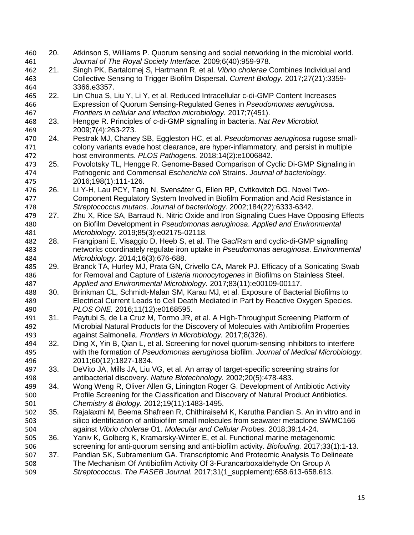20. Atkinson S, Williams P. Quorum sensing and social networking in the microbial world. *Journal of The Royal Society Interface.* 2009;6(40):959-978. 21. Singh PK, Bartalomej S, Hartmann R, et al. *Vibrio cholerae* Combines Individual and Collective Sensing to Trigger Biofilm Dispersal. *Current Biology.* 2017;27(21):3359- 3366.e3357. 22. Lin Chua S, Liu Y, Li Y, et al. Reduced Intracellular c-di-GMP Content Increases Expression of Quorum Sensing-Regulated Genes in *Pseudomonas aeruginosa*. *Frontiers in cellular and infection microbiology.* 2017;7(451). 23. Hengge R. Principles of c-di-GMP signalling in bacteria. *Nat Rev Microbiol.*  2009;7(4):263-273. 24. Pestrak MJ, Chaney SB, Eggleston HC, et al. *Pseudomonas aeruginosa* rugose small- colony variants evade host clearance, are hyper-inflammatory, and persist in multiple host environments. *PLOS Pathogens.* 2018;14(2):e1006842. 25. Povolotsky TL, Hengge R. Genome-Based Comparison of Cyclic Di-GMP Signaling in Pathogenic and Commensal *Escherichia coli* Strains. *Journal of bacteriology.*  2016;198(1):111-126. 26. Li Y-H, Lau PCY, Tang N, Svensäter G, Ellen RP, Cvitkovitch DG. Novel Two- Component Regulatory System Involved in Biofilm Formation and Acid Resistance in *Streptococcus mutans*. *Journal of bacteriology.* 2002;184(22):6333-6342. Zhu X, Rice SA, Barraud N. Nitric Oxide and Iron Signaling Cues Have Opposing Effects on Biofilm Development in *Pseudomonas aeruginosa*. *Applied and Environmental Microbiology.* 2019;85(3):e02175-02118. 28. Frangipani E, Visaggio D, Heeb S, et al. The Gac/Rsm and cyclic-di-GMP signalling networks coordinately regulate iron uptake in *Pseudomonas aeruginosa*. *Environmental Microbiology.* 2014;16(3):676-688. 29. Branck TA, Hurley MJ, Prata GN, Crivello CA, Marek PJ. Efficacy of a Sonicating Swab for Removal and Capture of *Listeria monocytogenes* in Biofilms on Stainless Steel. *Applied and Environmental Microbiology.* 2017;83(11):e00109-00117. 30. Brinkman CL, Schmidt-Malan SM, Karau MJ, et al. Exposure of Bacterial Biofilms to Electrical Current Leads to Cell Death Mediated in Part by Reactive Oxygen Species. *PLOS ONE.* 2016;11(12):e0168595. 31. Paytubi S, de La Cruz M, Tormo JR, et al. A High-Throughput Screening Platform of Microbial Natural Products for the Discovery of Molecules with Antibiofilm Properties against Salmonella. *Frontiers in Microbiology.* 2017;8(326). 32. Ding X, Yin B, Qian L, et al. Screening for novel quorum-sensing inhibitors to interfere with the formation of *Pseudomonas aeruginosa* biofilm. *Journal of Medical Microbiology.*  2011;60(12):1827-1834. 33. DeVito JA, Mills JA, Liu VG, et al. An array of target-specific screening strains for antibacterial discovery. *Nature Biotechnology.* 2002;20(5):478-483. 34. Wong Weng R, Oliver Allen G, Linington Roger G. Development of Antibiotic Activity Profile Screening for the Classification and Discovery of Natural Product Antibiotics. *Chemistry & Biology.* 2012;19(11):1483-1495. 35. Rajalaxmi M, Beema Shafreen R, Chithiraiselvi K, Karutha Pandian S. An in vitro and in silico identification of antibiofilm small molecules from seawater metaclone SWMC166 against *Vibrio cholerae* O1. *Molecular and Cellular Probes.* 2018;39:14-24. 36. Yaniv K, Golberg K, Kramarsky-Winter E, et al. Functional marine metagenomic screening for anti-quorum sensing and anti-biofilm activity. *Biofouling.* 2017;33(1):1-13. 37. Pandian SK, Subramenium GA. Transcriptomic And Proteomic Analysis To Delineate The Mechanism Of Antibiofilm Activity Of 3-Furancarboxaldehyde On Group A *Streptococcus*. *The FASEB Journal.* 2017;31(1\_supplement):658.613-658.613.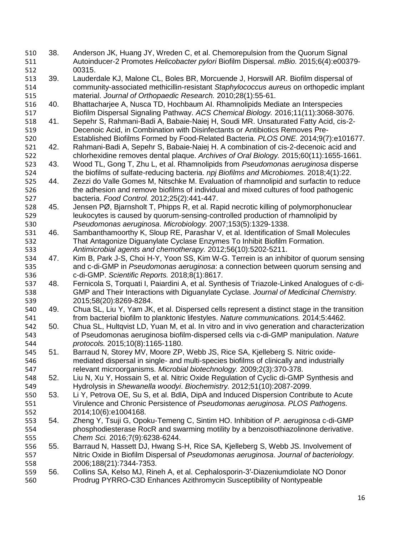- 38. Anderson JK, Huang JY, Wreden C, et al. Chemorepulsion from the Quorum Signal Autoinducer-2 Promotes *Helicobacter pylori* Biofilm Dispersal. *mBio.* 2015;6(4):e00379- 512 00315.<br>513 39. Lauder
- 39. Lauderdale KJ, Malone CL, Boles BR, Morcuende J, Horswill AR. Biofilm dispersal of community-associated methicillin-resistant *Staphylococcus aureus* on orthopedic implant material. *Journal of Orthopaedic Research.* 2010;28(1):55-61.
- 40. Bhattacharjee A, Nusca TD, Hochbaum AI. Rhamnolipids Mediate an Interspecies Biofilm Dispersal Signaling Pathway. *ACS Chemical Biology.* 2016;11(11):3068-3076.
- 41. Sepehr S, Rahmani-Badi A, Babaie-Naiej H, Soudi MR. Unsaturated Fatty Acid, cis-2- Decenoic Acid, in Combination with Disinfectants or Antibiotics Removes Pre-Established Biofilms Formed by Food-Related Bacteria. *PLOS ONE.* 2014;9(7):e101677.
- 42. Rahmani-Badi A, Sepehr S, Babaie-Naiej H. A combination of cis-2-decenoic acid and chlorhexidine removes dental plaque. *Archives of Oral Biology.* 2015;60(11):1655-1661.
- 43. Wood TL, Gong T, Zhu L, et al. Rhamnolipids from *Pseudomonas aeruginosa* disperse the biofilms of sulfate-reducing bacteria. *npj Biofilms and Microbiomes.* 2018;4(1):22.
- 44. Zezzi do Valle Gomes M, Nitschke M. Evaluation of rhamnolipid and surfactin to reduce the adhesion and remove biofilms of individual and mixed cultures of food pathogenic bacteria. *Food Control.* 2012;25(2):441-447.
- 45. Jensen PØ, Bjarnsholt T, Phipps R, et al. Rapid necrotic killing of polymorphonuclear leukocytes is caused by quorum-sensing-controlled production of rhamnolipid by *Pseudomonas aeruginosa*. *Microbiology.* 2007;153(5):1329-1338.
- 46. Sambanthamoorthy K, Sloup RE, Parashar V, et al. Identification of Small Molecules That Antagonize Diguanylate Cyclase Enzymes To Inhibit Biofilm Formation. *Antimicrobial agents and chemotherapy.* 2012;56(10):5202-5211.
- 47. Kim B, Park J-S, Choi H-Y, Yoon SS, Kim W-G. Terrein is an inhibitor of quorum sensing and c-di-GMP in *Pseudomonas aeruginosa*: a connection between quorum sensing and c-di-GMP. *Scientific Reports.* 2018;8(1):8617.
- 48. Fernicola S, Torquati I, Paiardini A, et al. Synthesis of Triazole-Linked Analogues of c-di- GMP and Their Interactions with Diguanylate Cyclase. *Journal of Medicinal Chemistry.*  2015;58(20):8269-8284.
- 49. Chua SL, Liu Y, Yam JK, et al. Dispersed cells represent a distinct stage in the transition from bacterial biofilm to planktonic lifestyles. *Nature communications.* 2014;5:4462.
- 50. Chua SL, Hultqvist LD, Yuan M, et al. In vitro and in vivo generation and characterization of Pseudomonas aeruginosa biofilm-dispersed cells via c-di-GMP manipulation. *Nature protocols.* 2015;10(8):1165-1180.
- 51. Barraud N, Storey MV, Moore ZP, Webb JS, Rice SA, Kjelleberg S. Nitric oxide- mediated dispersal in single- and multi-species biofilms of clinically and industrially relevant microorganisms. *Microbial biotechnology.* 2009;2(3):370-378.
- 52. Liu N, Xu Y, Hossain S, et al. Nitric Oxide Regulation of Cyclic di-GMP Synthesis and Hydrolysis in *Shewanella woodyi*. *Biochemistry.* 2012;51(10):2087-2099.
- 53. Li Y, Petrova OE, Su S, et al. BdlA, DipA and Induced Dispersion Contribute to Acute Virulence and Chronic Persistence of *Pseudomonas aeruginosa*. *PLOS Pathogens.*  2014;10(6):e1004168.
- 54. Zheng Y, Tsuji G, Opoku-Temeng C, Sintim HO. Inhibition of *P. aeruginosa* c-di-GMP phosphodiesterase RocR and swarming motility by a benzoisothiazolinone derivative. *Chem Sci.* 2016;7(9):6238-6244.
- 55. Barraud N, Hassett DJ, Hwang S-H, Rice SA, Kjelleberg S, Webb JS. Involvement of Nitric Oxide in Biofilm Dispersal of *Pseudomonas aeruginosa*. *Journal of bacteriology.*  2006;188(21):7344-7353.
- 56. Collins SA, Kelso MJ, Rineh A, et al. Cephalosporin-3′-Diazeniumdiolate NO Donor Prodrug PYRRO-C3D Enhances Azithromycin Susceptibility of Nontypeable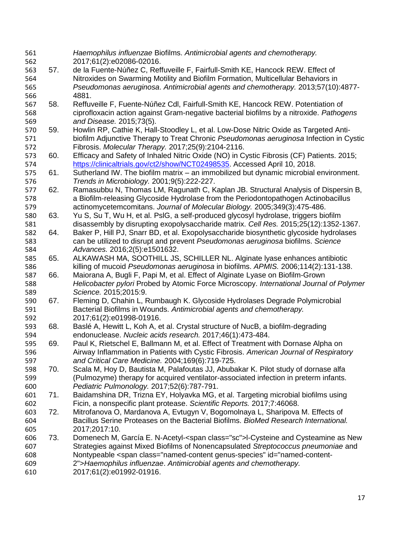| 561 |     | Haemophilus influenzae Biofilms. Antimicrobial agents and chemotherapy.                                                                                                                                                                 |
|-----|-----|-----------------------------------------------------------------------------------------------------------------------------------------------------------------------------------------------------------------------------------------|
| 562 |     | 2017;61(2):e02086-02016.                                                                                                                                                                                                                |
| 563 | 57. | de la Fuente-Núñez C, Reffuveille F, Fairfull-Smith KE, Hancock REW. Effect of                                                                                                                                                          |
| 564 |     | Nitroxides on Swarming Motility and Biofilm Formation, Multicellular Behaviors in                                                                                                                                                       |
| 565 |     | Pseudomonas aeruginosa. Antimicrobial agents and chemotherapy. 2013;57(10):4877-                                                                                                                                                        |
| 566 |     | 4881.                                                                                                                                                                                                                                   |
| 567 | 58. | Reffuveille F, Fuente-Núñez Cdl, Fairfull-Smith KE, Hancock REW. Potentiation of                                                                                                                                                        |
| 568 |     | ciprofloxacin action against Gram-negative bacterial biofilms by a nitroxide. Pathogens                                                                                                                                                 |
| 569 |     | and Disease. 2015;73(5).                                                                                                                                                                                                                |
| 570 | 59. | Howlin RP, Cathie K, Hall-Stoodley L, et al. Low-Dose Nitric Oxide as Targeted Anti-                                                                                                                                                    |
| 571 |     | biofilm Adjunctive Therapy to Treat Chronic Pseudomonas aeruginosa Infection in Cystic                                                                                                                                                  |
| 572 |     | Fibrosis. Molecular Therapy. 2017;25(9):2104-2116.                                                                                                                                                                                      |
| 573 | 60. | Efficacy and Safety of Inhaled Nitric Oxide (NO) in Cystic Fibrosis (CF) Patients. 2015;                                                                                                                                                |
| 574 |     | https://clinicaltrials.gov/ct2/show/NCT02498535. Accessed April 10, 2018.                                                                                                                                                               |
| 575 | 61. | Sutherland IW. The biofilm matrix - an immobilized but dynamic microbial environment.                                                                                                                                                   |
| 576 |     | Trends in Microbiology. 2001;9(5):222-227.                                                                                                                                                                                              |
| 577 | 62. | Ramasubbu N, Thomas LM, Ragunath C, Kaplan JB. Structural Analysis of Dispersin B,                                                                                                                                                      |
| 578 |     | a Biofilm-releasing Glycoside Hydrolase from the Periodontopathogen Actinobacillus                                                                                                                                                      |
| 579 |     | actinomycetemcomitans. Journal of Molecular Biology. 2005;349(3):475-486.                                                                                                                                                               |
| 580 | 63. | Yu S, Su T, Wu H, et al. PsIG, a self-produced glycosyl hydrolase, triggers biofilm                                                                                                                                                     |
| 581 |     | disassembly by disrupting exopolysaccharide matrix. Cell Res. 2015;25(12):1352-1367.                                                                                                                                                    |
| 582 | 64. | Baker P, Hill PJ, Snarr BD, et al. Exopolysaccharide biosynthetic glycoside hydrolases                                                                                                                                                  |
| 583 |     | can be utilized to disrupt and prevent Pseudomonas aeruginosa biofilms. Science                                                                                                                                                         |
| 584 |     | Advances. 2016;2(5):e1501632.                                                                                                                                                                                                           |
| 585 | 65. | ALKAWASH MA, SOOTHILL JS, SCHILLER NL. Alginate Iyase enhances antibiotic                                                                                                                                                               |
| 586 |     | killing of mucoid Pseudomonas aeruginosa in biofilms. APMIS. 2006;114(2):131-138.                                                                                                                                                       |
| 587 | 66. | Maiorana A, Bugli F, Papi M, et al. Effect of Alginate Lyase on Biofilm-Grown                                                                                                                                                           |
| 588 |     | Helicobacter pylori Probed by Atomic Force Microscopy. International Journal of Polymer                                                                                                                                                 |
| 589 |     | Science. 2015;2015:9.                                                                                                                                                                                                                   |
| 590 | 67. | Fleming D, Chahin L, Rumbaugh K. Glycoside Hydrolases Degrade Polymicrobial                                                                                                                                                             |
| 591 |     | Bacterial Biofilms in Wounds. Antimicrobial agents and chemotherapy.                                                                                                                                                                    |
| 592 |     | 2017;61(2):e01998-01916.                                                                                                                                                                                                                |
| 593 | 68. | Baslé A, Hewitt L, Koh A, et al. Crystal structure of NucB, a biofilm-degrading                                                                                                                                                         |
| 594 |     | endonuclease. Nucleic acids research. 2017;46(1):473-484.                                                                                                                                                                               |
| 595 | 69. | Paul K, Rietschel E, Ballmann M, et al. Effect of Treatment with Dornase Alpha on                                                                                                                                                       |
| 596 |     | Airway Inflammation in Patients with Cystic Fibrosis. American Journal of Respiratory                                                                                                                                                   |
| 597 |     | and Critical Care Medicine. 2004;169(6):719-725.                                                                                                                                                                                        |
| 598 | 70. | Scala M, Hoy D, Bautista M, Palafoutas JJ, Abubakar K. Pilot study of dornase alfa                                                                                                                                                      |
| 599 |     | (Pulmozyme) therapy for acquired ventilator-associated infection in preterm infants.                                                                                                                                                    |
| 600 |     | Pediatric Pulmonology. 2017;52(6):787-791.                                                                                                                                                                                              |
| 601 | 71. | Baidamshina DR, Trizna EY, Holyavka MG, et al. Targeting microbial biofilms using                                                                                                                                                       |
| 602 |     | Ficin, a nonspecific plant protease. Scientific Reports. 2017;7:46068.                                                                                                                                                                  |
| 603 | 72. | Mitrofanova O, Mardanova A, Evtugyn V, Bogomolnaya L, Sharipova M. Effects of                                                                                                                                                           |
| 604 |     | Bacillus Serine Proteases on the Bacterial Biofilms. BioMed Research International.                                                                                                                                                     |
| 605 |     | 2017;2017:10.                                                                                                                                                                                                                           |
| 606 | 73. | Domenech M, García E. N-Acetyl- <span class="sc">I-Cysteine and Cysteamine as New</span>                                                                                                                                                |
| 607 |     | Strategies against Mixed Biofilms of Nonencapsulated Streptococcus pneumoniae and                                                                                                                                                       |
| 608 |     | Nontypeable <span class="named-content genus-species" id="named-content-&lt;/td&gt;&lt;/tr&gt;&lt;tr&gt;&lt;td&gt;609&lt;/td&gt;&lt;td&gt;&lt;/td&gt;&lt;td&gt;2">Haemophilus influenzae. Antimicrobial agents and chemotherapy.</span> |
| 610 |     | 2017;61(2):e01992-01916.                                                                                                                                                                                                                |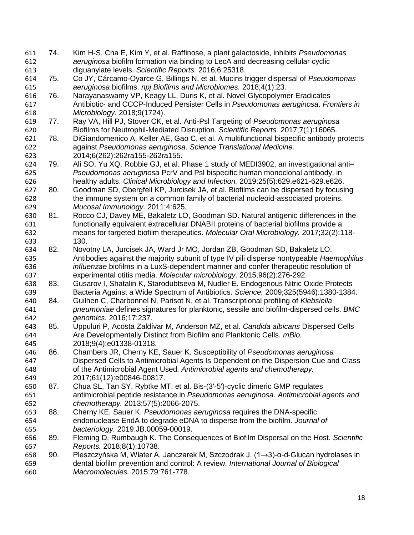74. Kim H-S, Cha E, Kim Y, et al. Raffinose, a plant galactoside, inhibits *Pseudomonas aeruginosa* biofilm formation via binding to LecA and decreasing cellular cyclic diguanylate levels. *Scientific Reports.* 2016;6:25318. 75. Co JY, Cárcamo-Oyarce G, Billings N, et al. Mucins trigger dispersal of *Pseudomonas aeruginosa* biofilms. *npj Biofilms and Microbiomes.* 2018;4(1):23. 76. Narayanaswamy VP, Keagy LL, Duris K, et al. Novel Glycopolymer Eradicates Antibiotic- and CCCP-Induced Persister Cells in *Pseudomonas aeruginosa*. *Frontiers in Microbiology.* 2018;9(1724). 77. Ray VA, Hill PJ, Stover CK, et al. Anti-Psl Targeting of *Pseudomonas aeruginosa* Biofilms for Neutrophil-Mediated Disruption. *Scientific Reports.* 2017;7(1):16065. 78. DiGiandomenico A, Keller AE, Gao C, et al. A multifunctional bispecific antibody protects against *Pseudomonas aeruginosa*. *Science Translational Medicine.*  2014;6(262):262ra155-262ra155. 79. Ali SO, Yu XQ, Robbie GJ, et al. Phase 1 study of MEDI3902, an investigational anti– *Pseudomonas aeruginosa* PcrV and Psl bispecific human monoclonal antibody, in healthy adults. *Clinical Microbiology and Infection.* 2019;25(5):629.e621-629.e626. 80. Goodman SD, Obergfell KP, Jurcisek JA, et al. Biofilms can be dispersed by focusing the immune system on a common family of bacterial nucleoid-associated proteins. *Mucosal Immunology.* 2011;4:625. 81. Rocco CJ, Davey ME, Bakaletz LO, Goodman SD. Natural antigenic differences in the functionally equivalent extracellular DNABII proteins of bacterial biofilms provide a means for targeted biofilm therapeutics. *Molecular Oral Microbiology.* 2017;32(2):118- 130. 82. Novotny LA, Jurcisek JA, Ward Jr MO, Jordan ZB, Goodman SD, Bakaletz LO. Antibodies against the majority subunit of type IV pili disperse nontypeable *Haemophilus influenzae* biofilms in a LuxS-dependent manner and confer therapeutic resolution of experimental otitis media. *Molecular microbiology.* 2015;96(2):276-292. 83. Gusarov I, Shatalin K, Starodubtseva M, Nudler E. Endogenous Nitric Oxide Protects Bacteria Against a Wide Spectrum of Antibiotics. *Science.* 2009;325(5946):1380-1384. 84. Guilhen C, Charbonnel N, Parisot N, et al. Transcriptional profiling of *Klebsiella pneumoniae* defines signatures for planktonic, sessile and biofilm-dispersed cells. *BMC genomics.* 2016;17:237. 85. Uppuluri P, Acosta Zaldívar M, Anderson MZ, et al. *Candida albicans* Dispersed Cells Are Developmentally Distinct from Biofilm and Planktonic Cells. *mBio.*  2018;9(4):e01338-01318. 86. Chambers JR, Cherny KE, Sauer K. Susceptibility of *Pseudomonas aeruginosa* Dispersed Cells to Antimicrobial Agents Is Dependent on the Dispersion Cue and Class of the Antimicrobial Agent Used. *Antimicrobial agents and chemotherapy.*  2017;61(12):e00846-00817. 87. Chua SL, Tan SY, Rybtke MT, et al. Bis-(3'-5')-cyclic dimeric GMP regulates antimicrobial peptide resistance in *Pseudomonas aeruginosa*. *Antimicrobial agents and chemotherapy.* 2013;57(5):2066-2075. 88. Cherny KE, Sauer K. *Pseudomonas aeruginosa* requires the DNA-specific endonuclease EndA to degrade eDNA to disperse from the biofilm. *Journal of bacteriology.* 2019:JB.00059-00019. 89. Fleming D, Rumbaugh K. The Consequences of Biofilm Dispersal on the Host. *Scientific Reports.* 2018;8(1):10738. 90. Pleszczyńska M, Wiater A, Janczarek M, Szczodrak J. (1→3)-α-d-Glucan hydrolases in dental biofilm prevention and control: A review. *International Journal of Biological Macromolecules.* 2015;79:761-778.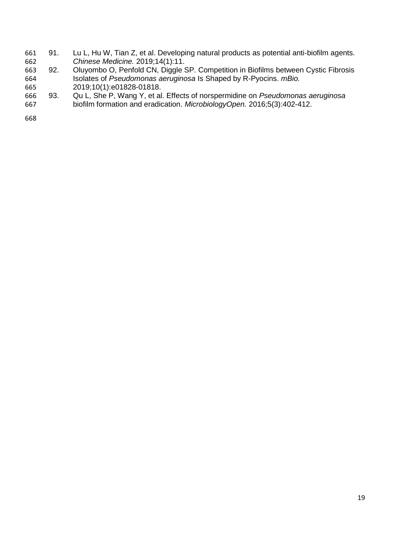- 91. Lu L, Hu W, Tian Z, et al. Developing natural products as potential anti-biofilm agents. *Chinese Medicine.* 2019;14(1):11.
- 663 92. Oluyombo O, Penfold CN, Diggle SP. Competition in Biofilms between Cystic Fibrosis<br>664 Selates of Pseudomonas aeruginosa Is Shaped by R-Pyocins. mBio. Isolates of *Pseudomonas aeruginosa* Is Shaped by R-Pyocins. *mBio.*  2019;10(1):e01828-01818.
- 93. Qu L, She P, Wang Y, et al. Effects of norspermidine on *Pseudomonas aeruginosa* biofilm formation and eradication. *MicrobiologyOpen.* 2016;5(3):402-412.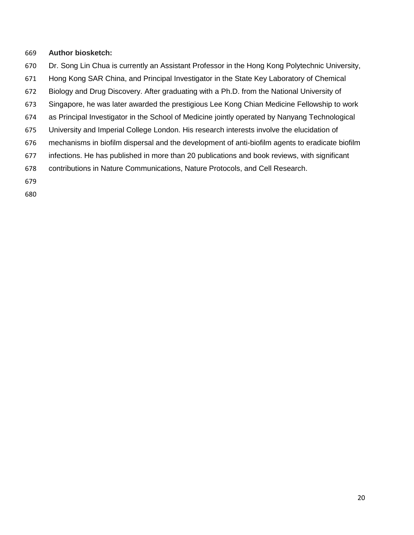## **Author biosketch:**

- Dr. Song Lin Chua is currently an Assistant Professor in the Hong Kong Polytechnic University,
- Hong Kong SAR China, and Principal Investigator in the State Key Laboratory of Chemical
- Biology and Drug Discovery. After graduating with a Ph.D. from the National University of
- Singapore, he was later awarded the prestigious Lee Kong Chian Medicine Fellowship to work
- as Principal Investigator in the School of Medicine jointly operated by Nanyang Technological
- University and Imperial College London. His research interests involve the elucidation of
- mechanisms in biofilm dispersal and the development of anti-biofilm agents to eradicate biofilm
- infections. He has published in more than 20 publications and book reviews, with significant
- contributions in Nature Communications, Nature Protocols, and Cell Research.
- 
-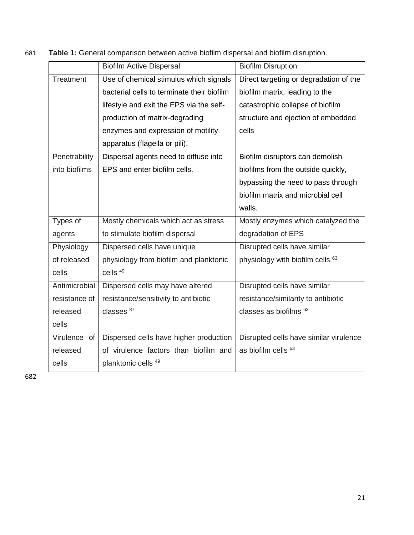| 681 | <b>Table 1:</b> General comparison between active biofilm dispersal and biofilm disruption. |  |  |
|-----|---------------------------------------------------------------------------------------------|--|--|
|     |                                                                                             |  |  |

|               | <b>Biofilm Active Dispersal</b>            | <b>Biofilm Disruption</b>              |  |
|---------------|--------------------------------------------|----------------------------------------|--|
| Treatment     | Use of chemical stimulus which signals     | Direct targeting or degradation of the |  |
|               | bacterial cells to terminate their biofilm | biofilm matrix, leading to the         |  |
|               | lifestyle and exit the EPS via the self-   | catastrophic collapse of biofilm       |  |
|               | production of matrix-degrading             | structure and ejection of embedded     |  |
|               | enzymes and expression of motility         | cells                                  |  |
|               | apparatus (flagella or pili).              |                                        |  |
| Penetrability | Dispersal agents need to diffuse into      | Biofilm disruptors can demolish        |  |
| into biofilms | EPS and enter biofilm cells.               | biofilms from the outside quickly,     |  |
|               |                                            | bypassing the need to pass through     |  |
|               |                                            | biofilm matrix and microbial cell      |  |
|               |                                            | walls.                                 |  |
| Types of      | Mostly chemicals which act as stress       | Mostly enzymes which catalyzed the     |  |
| agents        | to stimulate biofilm dispersal             | degradation of EPS                     |  |
| Physiology    | Dispersed cells have unique                | Disrupted cells have similar           |  |
| of released   | physiology from biofilm and planktonic     | physiology with biofilm cells 63       |  |
| cells         | cells <sup>49</sup>                        |                                        |  |
| Antimicrobial | Dispersed cells may have altered           | Disrupted cells have similar           |  |
| resistance of | resistance/sensitivity to antibiotic       | resistance/similarity to antibiotic    |  |
| released      | classes <sup>87</sup>                      | classes as biofilms 63                 |  |
| cells         |                                            |                                        |  |
| Virulence of  | Dispersed cells have higher production     | Disrupted cells have similar virulence |  |
| released      | of virulence factors than biofilm and      | as biofilm cells 63                    |  |
| cells         | planktonic cells 49                        |                                        |  |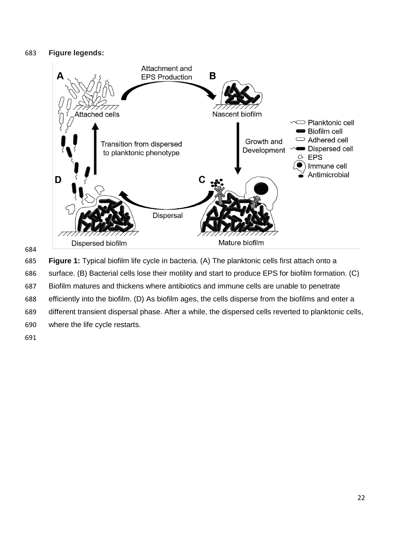# **Figure legends:**



 **Figure 1:** Typical biofilm life cycle in bacteria. (A) The planktonic cells first attach onto a surface. (B) Bacterial cells lose their motility and start to produce EPS for biofilm formation. (C) Biofilm matures and thickens where antibiotics and immune cells are unable to penetrate efficiently into the biofilm. (D) As biofilm ages, the cells disperse from the biofilms and enter a different transient dispersal phase. After a while, the dispersed cells reverted to planktonic cells, where the life cycle restarts.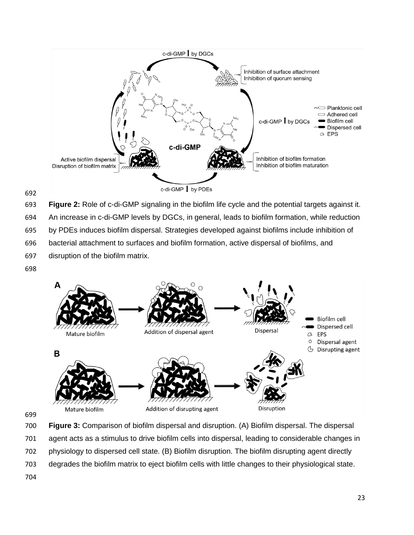

**Figure 2:** Role of c-di-GMP signaling in the biofilm life cycle and the potential targets against it.

An increase in c-di-GMP levels by DGCs, in general, leads to biofilm formation, while reduction

by PDEs induces biofilm dispersal. Strategies developed against biofilms include inhibition of

bacterial attachment to surfaces and biofilm formation, active dispersal of biofilms, and

disruption of the biofilm matrix.



 **Figure 3:** Comparison of biofilm dispersal and disruption. (A) Biofilm dispersal. The dispersal agent acts as a stimulus to drive biofilm cells into dispersal, leading to considerable changes in physiology to dispersed cell state. (B) Biofilm disruption. The biofilm disrupting agent directly degrades the biofilm matrix to eject biofilm cells with little changes to their physiological state.